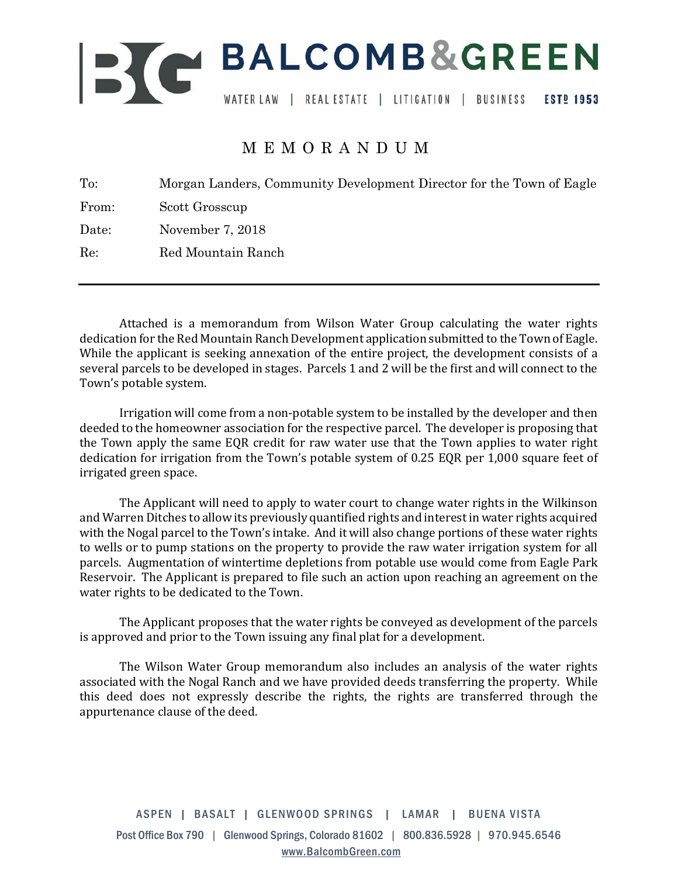

## MEMORANDUM

| Morgan Landers, Community Development Director for the Town of Eagle |
|----------------------------------------------------------------------|
| Scott Grosscup                                                       |
| November 7, 2018                                                     |
| Red Mountain Ranch                                                   |
|                                                                      |

Attached is a memorandum from Wilson Water Group calculating the water rights dedication for the Red Mountain Ranch Development application submitted to the Town of Eagle. While the applicant is seeking annexation of the entire project, the development consists of a several parcels to be developed in stages. Parcels 1 and 2 will be the first and will connect to the Town's potable system.

Irrigation will come from a non-potable system to be installed by the developer and then deeded to the homeowner association for the respective parcel. The developer is proposing that the Town apply the same EOR credit for raw water use that the Town applies to water right dedication for irrigation from the Town's potable system of 0.25 EOR per 1,000 square feet of irrigated green space.

The Applicant will need to apply to water court to change water rights in the Wilkinson and Warren Ditches to allow its previously quantified rights and interest in water rights acquired with the Nogal parcel to the Town's intake. And it will also change portions of these water rights to wells or to pump stations on the property to provide the raw water irrigation system for all parcels. Augmentation of wintertime depletions from potable use would come from Eagle Park Reservoir. The Applicant is prepared to file such an action upon reaching an agreement on the water rights to be dedicated to the Town.

The Applicant proposes that the water rights be conveyed as development of the parcels is approved and prior to the Town issuing any final plat for a development.

The Wilson Water Group memorandum also includes an analysis of the water rights associated with the Nogal Ranch and we have provided deeds transferring the property. While this deed does not expressly describe the rights, the rights are transferred through the appurtenance clause of the deed.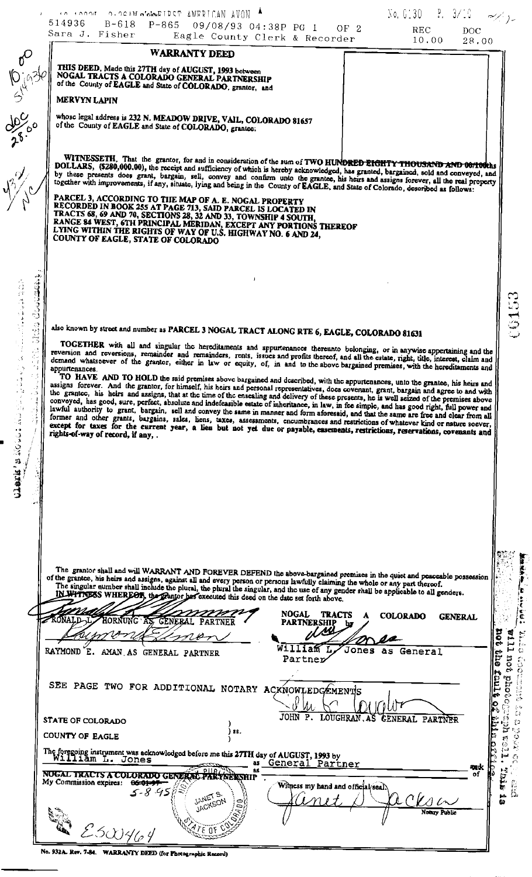|                                                                                                                                                  | No. 0130 P. 3/10 $\sim$<br>A BROOK OF ORDER O'CLOCK ON THE STATE OF A MARICAN AVON<br>514936 B-618 P-865 09/08/93 04:38P PG 1 OF 2<br>REC<br><b>DOC</b><br>Sara J. Fisher<br>Eagle County Clerk & Recorder<br>10.00<br>28.00                                                                                                                                                                                                                                                                                                                                                                                                                                                                                                                                                                                                                                                                                                                                                                                                                                                                                                                                                                                                                                                                                                                                                                                                                                                                                                                                                 |
|--------------------------------------------------------------------------------------------------------------------------------------------------|------------------------------------------------------------------------------------------------------------------------------------------------------------------------------------------------------------------------------------------------------------------------------------------------------------------------------------------------------------------------------------------------------------------------------------------------------------------------------------------------------------------------------------------------------------------------------------------------------------------------------------------------------------------------------------------------------------------------------------------------------------------------------------------------------------------------------------------------------------------------------------------------------------------------------------------------------------------------------------------------------------------------------------------------------------------------------------------------------------------------------------------------------------------------------------------------------------------------------------------------------------------------------------------------------------------------------------------------------------------------------------------------------------------------------------------------------------------------------------------------------------------------------------------------------------------------------|
|                                                                                                                                                  | <b>WARRANTY DEED</b><br>THIS DEED, Made this 27TH day of AUGUST, 1993 between<br>NOGAL TRACTS A COLORADO GENERAL PARTNERSHIP<br>of the County of EAGLE and State of COLORADO, grantor, and                                                                                                                                                                                                                                                                                                                                                                                                                                                                                                                                                                                                                                                                                                                                                                                                                                                                                                                                                                                                                                                                                                                                                                                                                                                                                                                                                                                   |
| <b>10 1934</b>                                                                                                                                   | MERVYN LAPIN<br>whose legal address is 232 N. MEADOW DRIVE, VAIL, COLORADO 81657<br>of the County of EAGLE and State of COLORADO, grantee:                                                                                                                                                                                                                                                                                                                                                                                                                                                                                                                                                                                                                                                                                                                                                                                                                                                                                                                                                                                                                                                                                                                                                                                                                                                                                                                                                                                                                                   |
|                                                                                                                                                  | WITNESSETH, That the grantor, for and in consideration of the sum of TWO HUNDRED EIGHTY THOUSAND AND 00/100ths<br>DOLLARS, (\$280,000.00), the receipt and sufficiency of which is hereby acknowledged, has granted, bargained, sold and conveyed, and<br>by these presents does grant, bargain, sell, convey and confirm unto the grantee, his hears and assigns forever, all the real property<br>together with improvements, if any, situate, lying and being in the County of EAGLE, and State of Colorado, described as follows:<br>PARCEL 3, ACCORDING TO THE MAP OF A. E. NOGAL PROPERTY<br>RECORDED IN BOOK 255 AT PAGE 713, SAID PARCEL IS LOCATED IN<br>TRACTS 68, 69 AND 70, SECTIONS 28, 32 AND 33, TOWNSHIP 4 SOUTH,<br>RANGE 84 WEST, 6TH PRINCIPAL MERIDAN, EXCEPT ANY PORTIONS THEREOF<br>LYING WITHIN THE RIGHTS OF WAY OF U.S. HIGHWAY NO. 6 AND 24,<br>COUNTY OF EAGLE, STATE OF COLORADO                                                                                                                                                                                                                                                                                                                                                                                                                                                                                                                                                                                                                                                                 |
| Constants<br>$\mathbb{C}$<br>$\mathbb{C}^2$<br>$\frac{1}{\sqrt{2}}$<br>$\sigma_1^{\rm S}$ as<br>$\cdots$<br>-13<br>$\rightarrow$ . $\rightarrow$ | also known by street and number as PARCEL 3 NOGAL TRACT ALONG RTE 6, EAGLE, COLORADO 81631<br>TOGETHER with all and singular the hereditaments and appurtenances thereunto belonging, or in anywise appertaining and the<br>reversion and reversions, remainder and remainders, rents, issues and profits thereof, and all the estate, right, title, interest, claim and<br>demand whatsoever of the grantor, either in law or equity, of, in and to the above bargained premises, with the hereditaments and<br>appurtenances.<br>TO HAVE AND TO HOLD the said premises above bargained and described, with the appurtenances, unto the grantee, his heirs and<br>assigns forever. And the grantor, for himself, his heirs and personal representatives, does covenant, grant, bargain and agree to and with<br>the grantee, his heirs and assigns, that at the time of the ensealing and delivery of these presents, he is well seized of the premises above<br>conveyed, has good, sure, perfect, absolute and indefeasible estate of inheritance, in law, in fee simple, and has good right, full power and<br>lawful authority to grant, bargain, sell and convey the same in manner and form aforesaid, and that the same are free and clear from all<br>former and other grants, bargains, sales, liens, taxes, assessments, encumbrances and restrictions of whatever kind or nature soever,<br>except for taxes for the current year, a lien but not yet due or payable, easements, restrictions, reservations, covenants and<br>rights-of-way of record, if any, . |
|                                                                                                                                                  | The grantor shall and will WARRANT AND FOREVER DEFEND the above-bargained premises in the quiet and peaceable possession<br>of the grantce, his heirs and assigns, against all and every person or persons lawfully claiming the whole or any part thereof.<br>The singular number shall include the plural, the plural the singular, and the use of any gender shall be applicable to all genders.<br>IN WITTIESS WHEREOF, the Frantor has executed this deed on the date set forth above.<br><b>NOGAL</b><br><b>TRACTS</b><br><b>COLORADO</b><br>A<br><b>GENERAL</b><br>RONALD <sub>IL</sub> HORNUNG AS GENERAL PARTNER<br><b>PARTNERSHIP</b><br>ว<br>จุ                                                                                                                                                                                                                                                                                                                                                                                                                                                                                                                                                                                                                                                                                                                                                                                                                                                                                                                   |
|                                                                                                                                                  | William L,<br>Jones as General<br>RAYMOND E. AMAN AS GENERAL PARTNER<br><b>DLIC</b><br>Partner                                                                                                                                                                                                                                                                                                                                                                                                                                                                                                                                                                                                                                                                                                                                                                                                                                                                                                                                                                                                                                                                                                                                                                                                                                                                                                                                                                                                                                                                               |
|                                                                                                                                                  | SEE PAGE TWO FOR ADDITIONAL NOTARY ACXNOWLEDGEMENTS<br>N IOUT<br>JOHN P. LOUGHRAN. AS CENERAL PARTNER                                                                                                                                                                                                                                                                                                                                                                                                                                                                                                                                                                                                                                                                                                                                                                                                                                                                                                                                                                                                                                                                                                                                                                                                                                                                                                                                                                                                                                                                        |
|                                                                                                                                                  | STATE OF COLORADO<br>) 88.                                                                                                                                                                                                                                                                                                                                                                                                                                                                                                                                                                                                                                                                                                                                                                                                                                                                                                                                                                                                                                                                                                                                                                                                                                                                                                                                                                                                                                                                                                                                                   |
|                                                                                                                                                  | <b>COUNTY OF EAGLE</b><br>The foregoing instrument was acknowledged before me this 27TH day of AUGUST, 1993 by<br>William L. Jones as General Part<br>as General Partner<br>and c<br>PIIR<br>NUGAL TRACTS A COLORADO GENERAL PARTOERSHIP<br>My Commission expires: 06-01-97<br>Witness my hand and official/seal.<br>$\infty$<br>$\sigma$ and                                                                                                                                                                                                                                                                                                                                                                                                                                                                                                                                                                                                                                                                                                                                                                                                                                                                                                                                                                                                                                                                                                                                                                                                                                |
|                                                                                                                                                  | JANET S.<br>JACKSON                                                                                                                                                                                                                                                                                                                                                                                                                                                                                                                                                                                                                                                                                                                                                                                                                                                                                                                                                                                                                                                                                                                                                                                                                                                                                                                                                                                                                                                                                                                                                          |

No. 932A. Rev. 7-84. WARRANTY DEED (for Photographic Record)